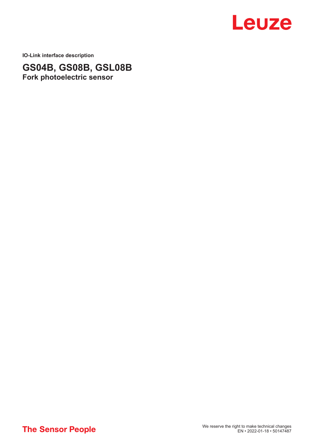

**IO-Link interface description**

**GS04B, GS08B, GSL08B Fork photoelectric sensor**

**The Sensor People**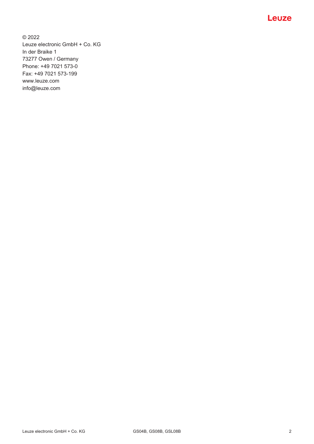© 2022 Leuze electronic GmbH + Co. KG In der Braike 1 73277 Owen / Germany Phone: +49 7021 573-0 Fax: +49 7021 573-199 www.leuze.com info@leuze.com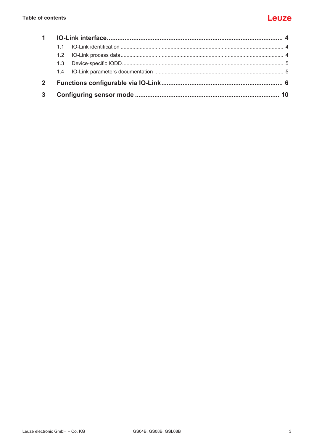# Leuze

|                | 1.3 |  |  |  |  |  |
|----------------|-----|--|--|--|--|--|
|                |     |  |  |  |  |  |
| 2 <sup>1</sup> |     |  |  |  |  |  |
| $3^{\circ}$    |     |  |  |  |  |  |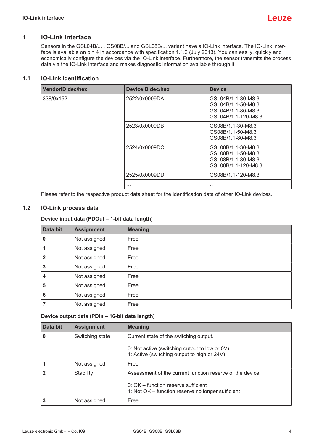

## **1 IO-Link interface**

<span id="page-3-0"></span>Sensors in the GSL04B/... , GS08B/... and GSL08B/... variant have a IO-Link interface. The IO-Link interface is available on pin 4 in accordance with specification 1.1.2 (July 2013). You can easily, quickly and economically configure the devices via the IO-Link interface. Furthermore, the sensor transmits the process data via the IO-Link interface and makes diagnostic information available through it.

## **1.1 IO-Link identification**

<span id="page-3-1"></span>

| <b>VendorID dec/hex</b> | DeviceID dec/hex | <b>Device</b>                                                                         |
|-------------------------|------------------|---------------------------------------------------------------------------------------|
| 338/0x152               | 2522/0x0009DA    | GSL04B/1.1-30-M8.3<br>GSL04B/1.1-50-M8.3<br>GSL04B/1.1-80-M8.3<br>GSL04B/1.1-120-M8.3 |
|                         | 2523/0x0009DB    | GS08B/1.1-30-M8.3<br>GS08B/1.1-50-M8.3<br>GS08B/1.1-80-M8.3                           |
|                         | 2524/0x0009DC    | GSL08B/1.1-30-M8.3<br>GSL08B/1.1-50-M8.3<br>GSL08B/1.1-80-M8.3<br>GSL08B/1.1-120-M8.3 |
|                         | 2525/0x0009DD    | GS08B/1.1-120-M8.3                                                                    |
|                         | $\cdots$         | $\cdots$                                                                              |

Please refer to the respective product data sheet for the identification data of other IO-Link devices.

### **1.2 IO-Link process data**

### <span id="page-3-2"></span>**Device input data (PDOut – 1-bit data length)**

| Data bit                | <b>Assignment</b> | <b>Meaning</b> |
|-------------------------|-------------------|----------------|
| 0                       | Not assigned      | Free           |
| $\vert$ 1               | Not assigned      | Free           |
| $\overline{\mathbf{2}}$ | Not assigned      | Free           |
| $\overline{3}$          | Not assigned      | Free           |
| 4                       | Not assigned      | Free           |
| 5                       | Not assigned      | Free           |
| $\vert 6$               | Not assigned      | Free           |
| $\overline{7}$          | Not assigned      | Free           |

#### **Device output data (PDIn – 16-bit data length)**

| Data bit | <b>Assignment</b> | <b>Meaning</b>                                                                               |
|----------|-------------------|----------------------------------------------------------------------------------------------|
| 0        | Switching state   | Current state of the switching output.                                                       |
|          |                   | 0: Not active (switching output to low or 0V)<br>1: Active (switching output to high or 24V) |
|          | Not assigned      | Free                                                                                         |
|          | Stability         | Assessment of the current function reserve of the device.                                    |
|          |                   | 0: OK – function reserve sufficient<br>1: Not OK – function reserve no longer sufficient     |
|          | Not assigned      | Free                                                                                         |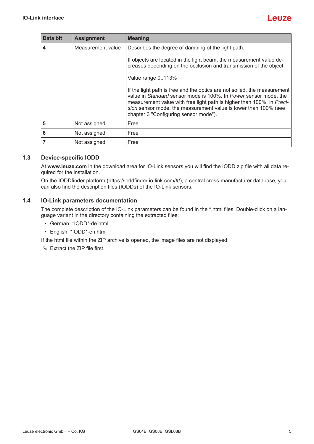| Data bit        | <b>Assignment</b> | <b>Meaning</b>                                                                                                                                                                                                                                                                                                                    |
|-----------------|-------------------|-----------------------------------------------------------------------------------------------------------------------------------------------------------------------------------------------------------------------------------------------------------------------------------------------------------------------------------|
| 4               | Measurement value | Describes the degree of damping of the light path.                                                                                                                                                                                                                                                                                |
|                 |                   | If objects are located in the light beam, the measurement value de-<br>creases depending on the occlusion and transmission of the object.                                                                                                                                                                                         |
|                 |                   | Value range 0113%                                                                                                                                                                                                                                                                                                                 |
|                 |                   | If the light path is free and the optics are not soiled, the measurement<br>value in Standard sensor mode is 100%. In Power sensor mode, the<br>measurement value with free light path is higher than 100%; in Preci-<br>sion sensor mode, the measurement value is lower than 100% (see<br>chapter 3 "Configuring sensor mode"). |
| 5               | Not assigned      | Free                                                                                                                                                                                                                                                                                                                              |
| $6\phantom{1}6$ | Not assigned      | Free                                                                                                                                                                                                                                                                                                                              |
| 7               | Not assigned      | Free                                                                                                                                                                                                                                                                                                                              |

### **1.3 Device-specific IODD**

<span id="page-4-0"></span>At **[www.leuze.com](http://www.leuze.com)** in the download area for IO-Link sensors you will find the IODD zip file with all data required for the installation.

On the IODDfinder platform (https://ioddfinder.io-link.com/#/), a central cross-manufacturer database, you can also find the description files (IODDs) of the IO-Link sensors.

## **1.4 IO-Link parameters documentation**

<span id="page-4-1"></span>The complete description of the IO-Link parameters can be found in the \*.html files. Double-click on a language variant in the directory containing the extracted files:

- German: \*IODD\*-de.html
- English: \*IODD\*-en.html

If the html file within the ZIP archive is opened, the image files are not displayed.

Ä Extract the ZIP file first.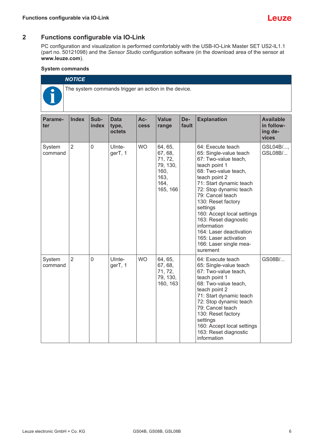## **2 Functions configurable via IO-Link**

<span id="page-5-0"></span>PC configuration and visualization is performed comfortably with the USB-IO-Link Master SET US2-IL1.1 (part no. 50121098) and the *Sensor Studio* configuration software (in the download area of the sensor at **[www.leuze.com](http://www.leuze.com)**).

#### **System commands**

| <b>NOTICE</b>                                        |
|------------------------------------------------------|
| The system commands trigger an action in the device. |

| Parame-<br>ter    | <b>Index</b>   | Sub-<br>index  | <b>Data</b><br>type,<br>octets | Ac-<br><b>cess</b> | <b>Value</b><br>range                                                         | De-<br>fault                                                                                                                                                                                                                                                                                                   | <b>Explanation</b>                                                                                                                                                                                                                                                                                                                                                                                       | <b>Available</b><br>in follow-<br>ing de-<br>vices |
|-------------------|----------------|----------------|--------------------------------|--------------------|-------------------------------------------------------------------------------|----------------------------------------------------------------------------------------------------------------------------------------------------------------------------------------------------------------------------------------------------------------------------------------------------------------|----------------------------------------------------------------------------------------------------------------------------------------------------------------------------------------------------------------------------------------------------------------------------------------------------------------------------------------------------------------------------------------------------------|----------------------------------------------------|
| System<br>command | $\overline{2}$ | $\mathbf 0$    | Ulnte-<br>gerT, 1              | <b>WO</b>          | 64, 65,<br>67, 68,<br>71, 72,<br>79, 130,<br>160,<br>163,<br>164,<br>165, 166 |                                                                                                                                                                                                                                                                                                                | 64: Execute teach<br>65: Single-value teach<br>67: Two-value teach,<br>teach point 1<br>68: Two-value teach,<br>teach point 2<br>71: Start dynamic teach<br>72: Stop dynamic teach<br>79: Cancel teach<br>130: Reset factory<br>settings<br>160: Accept local settings<br>163: Reset diagnostic<br>information<br>164: Laser deactivation<br>165: Laser activation<br>166: Laser single mea-<br>surement | GSL04B/,<br>GSL08B/                                |
| System<br>command | $\overline{2}$ | $\overline{0}$ | UInte-<br>gerT, 1              | <b>WO</b>          | 64, 65,<br>67, 68,<br>71, 72,<br>79, 130,<br>160, 163                         | 64: Execute teach<br>65: Single-value teach<br>67: Two-value teach,<br>teach point 1<br>68: Two-value teach,<br>teach point 2<br>71: Start dynamic teach<br>72: Stop dynamic teach<br>79: Cancel teach<br>130: Reset factory<br>settings<br>160: Accept local settings<br>163: Reset diagnostic<br>information |                                                                                                                                                                                                                                                                                                                                                                                                          | GS08B/                                             |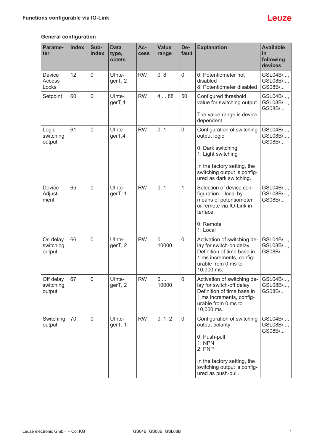# **General configuration**

| Parame-<br>ter                   | <b>Index</b> | Sub-<br>index | <b>Data</b><br>type,<br>octets | Ac-<br><b>Cess</b> | <b>Value</b><br>range | De-<br>fault        | <b>Explanation</b>                                                                                                                                                              | <b>Available</b><br>in<br>following<br>devices |
|----------------------------------|--------------|---------------|--------------------------------|--------------------|-----------------------|---------------------|---------------------------------------------------------------------------------------------------------------------------------------------------------------------------------|------------------------------------------------|
| Device<br>Access<br>Locks        | 12           | $\mathbf 0$   | UInte-<br>gerT, 2              | <b>RW</b>          | 0, 8                  | $\mathbf 0$         | 0: Potentiometer not<br>disabled<br>8: Potentiometer disabled                                                                                                                   | GSL04B/,<br>GSL08B/,<br>GS08B/                 |
| Setpoint                         | 60           | $\mathbf 0$   | UInte-<br>gerT,4               | <b>RW</b>          | 488                   | 50                  | Configured threshold<br>value for switching output.<br>The value range is device<br>dependent.                                                                                  | GSL04B/,<br>GSL08B/,<br>GS08B/                 |
| Logic<br>switching<br>output     | 61           | $\mathbf 0$   | UInte-<br>gerT,4               | <b>RW</b>          | 0, 1                  | 0                   | Configuration of switching<br>output logic.<br>0: Dark switching<br>1: Light switching<br>In the factory setting, the<br>switching output is config-<br>ured as dark switching. | GSL04B/,<br>GSL08B/,<br>GS08B/                 |
| Device<br>Adjust-<br>ment        | 65           | $\mathbf 0$   | UInte-<br>gerT, 1              | <b>RW</b>          | 0, 1                  | $\mathbf{1}$        | Selection of device con-<br>figuration - local by<br>means of potentiometer<br>or remote via IO-Link in-<br>terface.<br>0: Remote<br>1: Local                                   | GSL04B/,<br>GSL08B/,<br>GS08B/                 |
| On delay<br>switching<br>output  | 66           | $\mathbf 0$   | UInte-<br>gerT, 2              | <b>RW</b>          | 0<br>10000            | $\mathbf 0$         | Activation of switching de-<br>lay for switch-on delay.<br>Definition of time base in<br>1 ms increments, config-<br>urable from 0 ms to<br>10,000 ms.                          | GSL04B/,<br>GSL08B/,<br>GS08B/                 |
| Off delay<br>switching<br>output | 67           | 0             | UInte-<br>gerT, 2              | <b>RW</b>          | 0<br>10000            | $\mathsf{O}\xspace$ | Activation of switching de-<br>lay for switch-off delay.<br>Definition of time base in<br>1 ms increments, config-<br>urable from 0 ms to<br>10,000 ms.                         | GSL04B/,<br>GSL08B/,<br>GS08B/                 |
| Switching<br>output              | 70           | $\mathbf 0$   | UInte-<br>gerT, 1              | <b>RW</b>          | 0, 1, 2               | $\pmb{0}$           | Configuration of switching<br>output polarity.<br>0: Push-pull<br>1: NPN<br>2:PNP<br>In the factory setting, the<br>switching output is config-<br>ured as push-pull.           | GSL04B/,<br>GSL08B/,<br>GS08B/                 |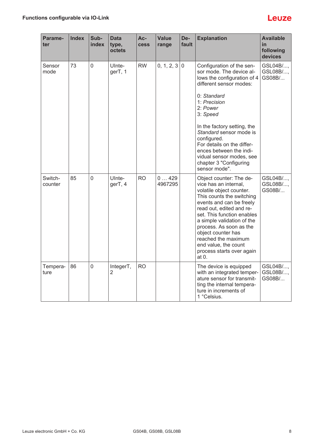# Leuze

| Parame-<br>ter     | <b>Index</b> | Sub-<br>index  | <b>Data</b><br>type,<br>octets | Ac-<br><b>Cess</b> | <b>Value</b><br>range | De-<br>fault | <b>Explanation</b>                                                                                                                                                                                                                                                                                                                                                              | <b>Available</b><br>in<br>following<br>devices |
|--------------------|--------------|----------------|--------------------------------|--------------------|-----------------------|--------------|---------------------------------------------------------------------------------------------------------------------------------------------------------------------------------------------------------------------------------------------------------------------------------------------------------------------------------------------------------------------------------|------------------------------------------------|
| Sensor<br>mode     | 73           | $\overline{0}$ | UInte-<br>gerT, 1              | <b>RW</b>          | 0, 1, 2, 3   0        |              | Configuration of the sen-<br>sor mode. The device al-<br>lows the configuration of 4<br>different sensor modes:<br>0: Standard<br>1: Precision<br>2: Power<br>3: Speed<br>In the factory setting, the<br>Standard sensor mode is<br>configured.<br>For details on the differ-<br>ences between the indi-<br>vidual sensor modes, see<br>chapter 3 "Configuring<br>sensor mode". | GSL04B/,<br>GSL08B/,<br>GS08B/                 |
| Switch-<br>counter | 85           | $\overline{0}$ | UInte-<br>gerT, 4              | <b>RO</b>          | 0429<br>4967295       |              | Object counter: The de-<br>vice has an internal,<br>volatile object counter.<br>This counts the switching<br>events and can be freely<br>read out, edited and re-<br>set. This function enables<br>a simple validation of the<br>process. As soon as the<br>object counter has<br>reached the maximum<br>end value, the count<br>process starts over again<br>at $0.$           | GSL04B/,<br>GSL08B/,<br>GS08B/                 |
| Tempera-<br>ture   | 86           | $\mathbf 0$    | IntegerT,<br>2                 | <b>RO</b>          |                       |              | The device is equipped<br>with an integrated temper-<br>ature sensor for transmit-<br>ting the internal tempera-<br>ture in increments of<br>1 °Celsius.                                                                                                                                                                                                                        | GSL04B/,<br>GSL08B/,<br>GS08B/                 |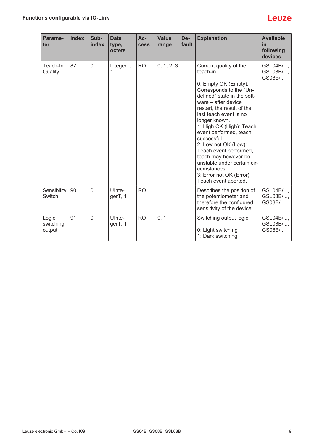| Parame-<br>ter               | <b>Index</b> | Sub-<br>index  | <b>Data</b><br>type,<br>octets | $Ac-$<br><b>Cess</b> | <b>Value</b><br>range | De-<br>fault | <b>Explanation</b>                                                                                                                                                                                                                                                                                                                                                                                                                                                     | <b>Available</b><br>in<br>following<br>devices |
|------------------------------|--------------|----------------|--------------------------------|----------------------|-----------------------|--------------|------------------------------------------------------------------------------------------------------------------------------------------------------------------------------------------------------------------------------------------------------------------------------------------------------------------------------------------------------------------------------------------------------------------------------------------------------------------------|------------------------------------------------|
| Teach-In<br>Quality          | 87           | $\mathbf 0$    | IntegerT,<br>1                 | <b>RO</b>            | 0, 1, 2, 3            |              | Current quality of the<br>teach-in.<br>0: Empty OK (Empty):<br>Corresponds to the "Un-<br>defined" state in the soft-<br>ware - after device<br>restart, the result of the<br>last teach event is no<br>longer known.<br>1: High OK (High): Teach<br>event performed, teach<br>successful.<br>2: Low not OK (Low):<br>Teach event performed,<br>teach may however be<br>unstable under certain cir-<br>cumstances.<br>3: Error not OK (Error):<br>Teach event aborted. | GSL04B/,<br>GSL08B/,<br>GS08B/                 |
| Sensibility<br><b>Switch</b> | 90           | $\overline{0}$ | UInte-<br>gerT, 1              | <b>RO</b>            |                       |              | Describes the position of<br>the potentiometer and<br>therefore the configured<br>sensitivity of the device.                                                                                                                                                                                                                                                                                                                                                           | GSL04B/<br>GSL08B/,<br>GS08B/                  |
| Logic<br>switching<br>output | 91           | $\overline{0}$ | UInte-<br>gerT, 1              | <b>RO</b>            | 0, 1                  |              | Switching output logic.<br>0: Light switching<br>1: Dark switching                                                                                                                                                                                                                                                                                                                                                                                                     | GSL04B/,<br>GSL08B/,<br>GS08B/                 |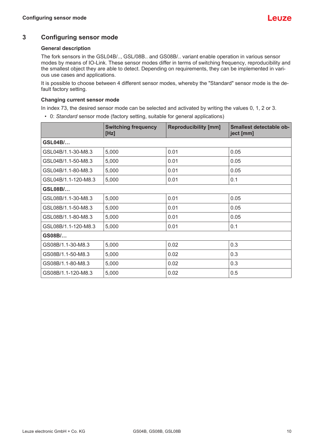# **3 Configuring sensor mode**

#### <span id="page-9-0"></span>**General description**

The fork sensors in the GSL04B/.., GSL/08B.. and GS08B/.. variant enable operation in various sensor modes by means of IO-Link. These sensor modes differ in terms of switching frequency, reproducibility and the smallest object they are able to detect. Depending on requirements, they can be implemented in various use cases and applications.

It is possible to choose between 4 different sensor modes, whereby the "Standard" sensor mode is the default factory setting.

#### **Changing current sensor mode**

In index 73, the desired sensor mode can be selected and activated by writing the values 0, 1, 2 or 3.

• 0: *Standard* sensor mode (factory setting, suitable for general applications)

|                     | <b>Switching frequency</b><br>[Hz] | <b>Reproducibility [mm]</b> | <b>Smallest detectable ob-</b><br>ject [mm] |
|---------------------|------------------------------------|-----------------------------|---------------------------------------------|
| <b>GSL04B/</b>      |                                    |                             |                                             |
| GSL04B/1.1-30-M8.3  | 5,000                              | 0.01                        | 0.05                                        |
| GSL04B/1.1-50-M8.3  | 5,000                              | 0.01                        | 0.05                                        |
| GSL04B/1.1-80-M8.3  | 5,000                              | 0.01                        | 0.05                                        |
| GSL04B/1.1-120-M8.3 | 5,000                              | 0.01                        | 0.1                                         |
| <b>GSL08B/</b>      |                                    |                             |                                             |
| GSL08B/1.1-30-M8.3  | 5,000                              | 0.01                        | 0.05                                        |
| GSL08B/1.1-50-M8.3  | 5,000                              | 0.01                        | 0.05                                        |
| GSL08B/1.1-80-M8.3  | 5,000                              | 0.01                        | 0.05                                        |
| GSL08B/1.1-120-M8.3 | 5,000                              | 0.01                        | 0.1                                         |
| GS08B/              |                                    |                             |                                             |
| GS08B/1.1-30-M8.3   | 5,000                              | 0.02                        | 0.3                                         |
| GS08B/1.1-50-M8.3   | 5,000                              | 0.02                        | 0.3                                         |
| GS08B/1.1-80-M8.3   | 5,000                              | 0.02                        | 0.3                                         |
| GS08B/1.1-120-M8.3  | 5,000                              | 0.02                        | 0.5                                         |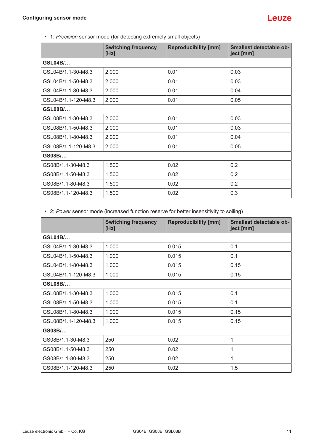• 1: *Precision* sensor mode (for detecting extremely small objects)

|                     | <b>Switching frequency</b><br>[Hz] | <b>Reproducibility [mm]</b> | Smallest detectable ob-<br>ject [mm] |
|---------------------|------------------------------------|-----------------------------|--------------------------------------|
| <b>GSL04B/</b>      |                                    |                             |                                      |
| GSL04B/1.1-30-M8.3  | 2,000                              | 0.01                        | 0.03                                 |
| GSL04B/1.1-50-M8.3  | 2,000                              | 0.01                        | 0.03                                 |
| GSL04B/1.1-80-M8.3  | 2,000                              | 0.01                        | 0.04                                 |
| GSL04B/1.1-120-M8.3 | 2,000                              | 0.01                        | 0.05                                 |
| <b>GSL08B/</b>      |                                    |                             |                                      |
| GSL08B/1.1-30-M8.3  | 2,000                              | 0.01                        | 0.03                                 |
| GSL08B/1.1-50-M8.3  | 2,000                              | 0.01                        | 0.03                                 |
| GSL08B/1.1-80-M8.3  | 2,000                              | 0.01                        | 0.04                                 |
| GSL08B/1.1-120-M8.3 | 2,000                              | 0.01                        | 0.05                                 |
| GS08B/              |                                    |                             |                                      |
| GS08B/1.1-30-M8.3   | 1,500                              | 0.02                        | 0.2                                  |
| GS08B/1.1-50-M8.3   | 1,500                              | 0.02                        | 0.2                                  |
| GS08B/1.1-80-M8.3   | 1,500                              | 0.02                        | 0.2                                  |
| GS08B/1.1-120-M8.3  | 1,500                              | 0.02                        | 0.3                                  |

• 2: *Power* sensor mode (increased function reserve for better insensitivity to soiling)

|                     | <b>Switching frequency</b><br>[Hz] | <b>Reproducibility [mm]</b> | <b>Smallest detectable ob-</b><br>ject [mm] |  |  |
|---------------------|------------------------------------|-----------------------------|---------------------------------------------|--|--|
| <b>GSL04B/</b>      |                                    |                             |                                             |  |  |
| GSL04B/1.1-30-M8.3  | 1,000                              | 0.015                       | 0.1                                         |  |  |
| GSL04B/1.1-50-M8.3  | 1,000                              | 0.015                       | 0.1                                         |  |  |
| GSL04B/1.1-80-M8.3  | 1,000                              | 0.015                       | 0.15                                        |  |  |
| GSL04B/1.1-120-M8.3 | 1,000                              | 0.015                       | 0.15                                        |  |  |
| <b>GSL08B/</b>      |                                    |                             |                                             |  |  |
| GSL08B/1.1-30-M8.3  | 1,000                              | 0.015                       | 0.1                                         |  |  |
| GSL08B/1.1-50-M8.3  | 1,000                              | 0.015                       | 0.1                                         |  |  |
| GSL08B/1.1-80-M8.3  | 1,000                              | 0.015                       | 0.15                                        |  |  |
| GSL08B/1.1-120-M8.3 | 1,000                              | 0.015                       | 0.15                                        |  |  |
| GS08B/              |                                    |                             |                                             |  |  |
| GS08B/1.1-30-M8.3   | 250                                | 0.02                        | 1                                           |  |  |
| GS08B/1.1-50-M8.3   | 250                                | 0.02                        | 1                                           |  |  |
| GS08B/1.1-80-M8.3   | 250                                | 0.02                        | 1                                           |  |  |
| GS08B/1.1-120-M8.3  | 250                                | 0.02                        | 1.5                                         |  |  |